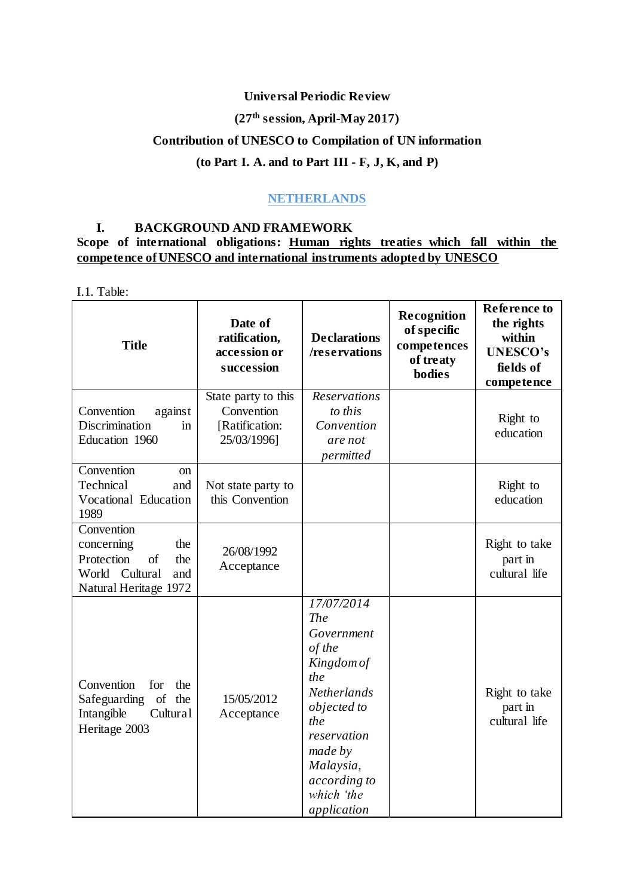#### **Universal Periodic Review**

**(27th session, April-May 2017)**

## **Contribution of UNESCO to Compilation of UN information**

## **(to Part I. A. and to Part III - F, J, K, and P)**

## **NETHERLANDS**

## **I. BACKGROUND AND FRAMEWORK**

## **Scope of international obligations: Human rights treaties which fall within the competence of UNESCO and international instruments adopted by UNESCO**

I.1. Table:

| <b>Title</b>                                                                                                 | Date of<br>ratification,<br>accession or<br>succession             | <b>Declarations</b><br>/reservations                                                                                                                                                                  | Recognition<br>of specific<br>competences<br>of treaty<br><b>bodies</b> | <b>Reference to</b><br>the rights<br>within<br><b>UNESCO's</b><br>fields of<br>competence |
|--------------------------------------------------------------------------------------------------------------|--------------------------------------------------------------------|-------------------------------------------------------------------------------------------------------------------------------------------------------------------------------------------------------|-------------------------------------------------------------------------|-------------------------------------------------------------------------------------------|
| Convention<br>against<br>Discrimination<br>in<br>Education 1960                                              | State party to this<br>Convention<br>[Ratification:<br>25/03/1996] | <b>Reservations</b><br>to this<br>Convention<br>are not<br>permitted                                                                                                                                  |                                                                         | Right to<br>education                                                                     |
| Convention<br>on<br>Technical<br>and<br>Vocational Education<br>1989                                         | Not state party to<br>this Convention                              |                                                                                                                                                                                                       |                                                                         | Right to<br>education                                                                     |
| Convention<br>concerning<br>the<br>Protection<br>of<br>the<br>World Cultural<br>and<br>Natural Heritage 1972 | 26/08/1992<br>Acceptance                                           |                                                                                                                                                                                                       |                                                                         | Right to take<br>part in<br>cultural life                                                 |
| Convention<br>for<br>the<br>of the<br>Safeguarding<br>Intangible<br>Cultural<br>Heritage 2003                | 15/05/2012<br>Acceptance                                           | 17/07/2014<br><b>The</b><br>Government<br>of the<br>Kingdom of<br>the<br>Netherlands<br><i>objected to</i><br>the<br>reservation<br>made by<br>Malaysia,<br>according to<br>which 'the<br>application |                                                                         | Right to take<br>part in<br>cultural life                                                 |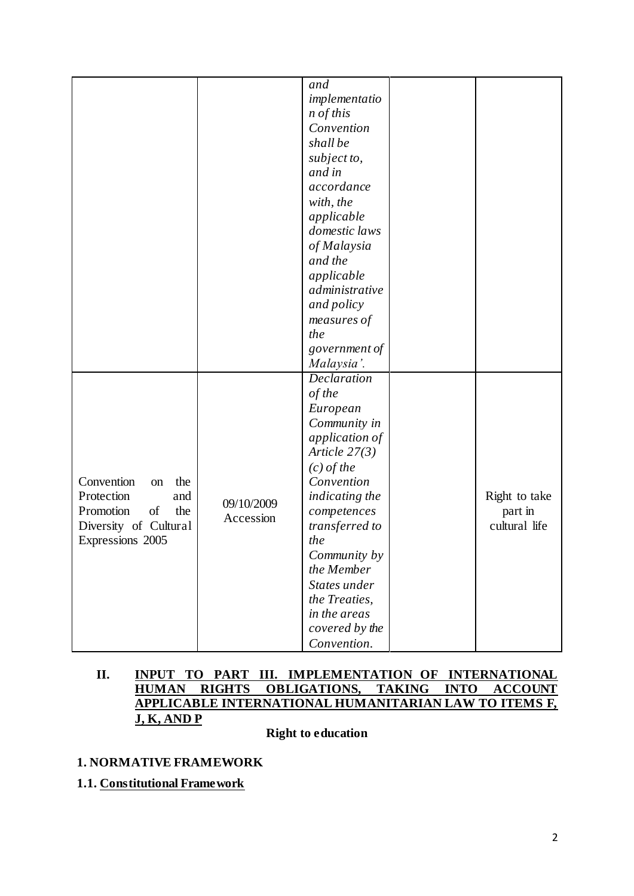|                                                                                                                     |                         | and                |               |
|---------------------------------------------------------------------------------------------------------------------|-------------------------|--------------------|---------------|
|                                                                                                                     |                         | implementatio      |               |
|                                                                                                                     |                         | n of this          |               |
|                                                                                                                     |                         | Convention         |               |
|                                                                                                                     |                         | shall be           |               |
|                                                                                                                     |                         | subject to,        |               |
|                                                                                                                     |                         | and in             |               |
|                                                                                                                     |                         | accordance         |               |
|                                                                                                                     |                         | with, the          |               |
|                                                                                                                     |                         | applicable         |               |
|                                                                                                                     |                         | domestic laws      |               |
|                                                                                                                     |                         | of Malaysia        |               |
|                                                                                                                     |                         | and the            |               |
|                                                                                                                     |                         | applicable         |               |
|                                                                                                                     |                         | administrative     |               |
|                                                                                                                     |                         | and policy         |               |
|                                                                                                                     |                         | measures of        |               |
|                                                                                                                     |                         | the                |               |
|                                                                                                                     |                         | government of      |               |
|                                                                                                                     |                         | Malaysia'.         |               |
|                                                                                                                     |                         | <b>Declaration</b> |               |
| Convention<br>the<br>on<br>Protection<br>and<br>the<br>Promotion<br>of<br>Diversity of Cultural<br>Expressions 2005 | 09/10/2009<br>Accession | of the             |               |
|                                                                                                                     |                         | European           |               |
|                                                                                                                     |                         | Community in       |               |
|                                                                                                                     |                         | application of     |               |
|                                                                                                                     |                         | Article $27(3)$    |               |
|                                                                                                                     |                         | $(c)$ of the       |               |
|                                                                                                                     |                         | Convention         |               |
|                                                                                                                     |                         | indicating the     | Right to take |
|                                                                                                                     |                         | competences        | part in       |
|                                                                                                                     |                         | transferred to     | cultural life |
|                                                                                                                     |                         | the                |               |
|                                                                                                                     |                         | Community by       |               |
|                                                                                                                     |                         | the Member         |               |
|                                                                                                                     |                         | States under       |               |
|                                                                                                                     |                         | the Treaties,      |               |
|                                                                                                                     |                         | in the areas       |               |
|                                                                                                                     |                         | covered by the     |               |
|                                                                                                                     |                         | Convention.        |               |

# **II. INPUT TO PART III. IMPLEMENTATION OF INTERNATIONAL HUMAN RIGHTS OBLIGATIONS, TAKING INTO ACCOUNT APPLICABLE INTERNATIONAL HUMANITARIAN LAW TO ITEMS F, J, K, AND P**

# **Right to education**

#### **1. NORMATIVE FRAMEWORK**

**1.1. Constitutional Framework**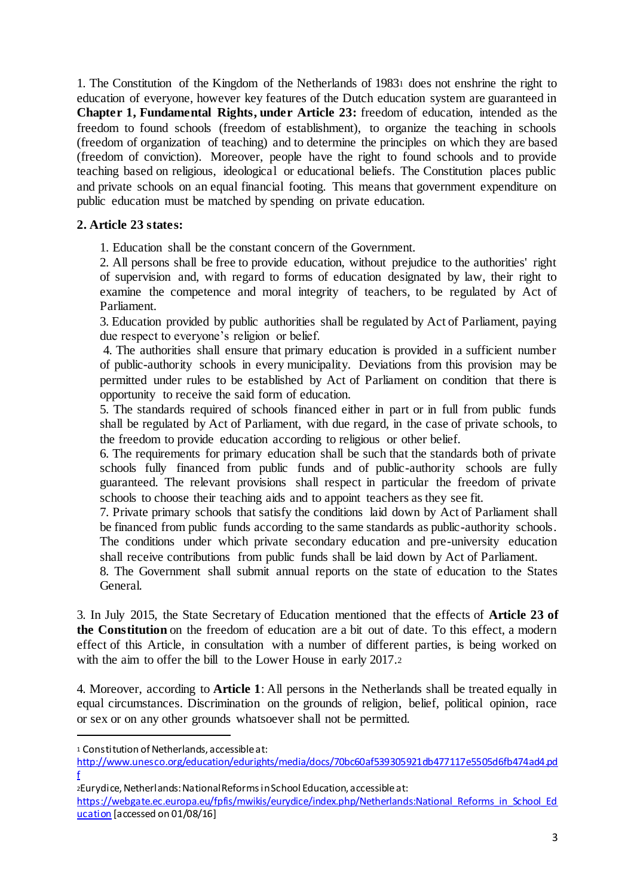1. The Constitution of the Kingdom of the Netherlands of 1983<sup>1</sup> does not enshrine the right to education of everyone, however key features of the Dutch education system are guaranteed in **Chapter 1, Fundamental Rights, under Article 23:** freedom of education, intended as the freedom to found schools (freedom of establishment), to organize the teaching in schools (freedom of organization of teaching) and to determine the principles on which they are based (freedom of conviction). Moreover, people have the right to found schools and to provide teaching based on religious, ideological or educational beliefs. The Constitution places public and private schools on an equal financial footing. This means that government expenditure on public education must be matched by spending on private education.

#### **2. Article 23 states:**

1. Education shall be the constant concern of the Government.

2. All persons shall be free to provide education, without prejudice to the authorities' right of supervision and, with regard to forms of education designated by law, their right to examine the competence and moral integrity of teachers, to be regulated by Act of Parliament.

3. Education provided by public authorities shall be regulated by Act of Parliament, paying due respect to everyone's religion or belief.

4. The authorities shall ensure that primary education is provided in a sufficient number of public-authority schools in every municipality. Deviations from this provision may be permitted under rules to be established by Act of Parliament on condition that there is opportunity to receive the said form of education.

5. The standards required of schools financed either in part or in full from public funds shall be regulated by Act of Parliament, with due regard, in the case of private schools, to the freedom to provide education according to religious or other belief.

6. The requirements for primary education shall be such that the standards both of private schools fully financed from public funds and of public-authority schools are fully guaranteed. The relevant provisions shall respect in particular the freedom of private schools to choose their teaching aids and to appoint teachers as they see fit.

7. Private primary schools that satisfy the conditions laid down by Act of Parliament shall be financed from public funds according to the same standards as public-authority schools. The conditions under which private secondary education and pre-university education shall receive contributions from public funds shall be laid down by Act of Parliament.

8. The Government shall submit annual reports on the state of education to the States General.

3. In July 2015, the State Secretary of Education mentioned that the effects of **Article 23 of the Constitution** on the freedom of education are a bit out of date. To this effect, a modern effect of this Article, in consultation with a number of different parties, is being worked on with the aim to offer the bill to the Lower House in early 2017.2

4. Moreover, according to **Article 1**: All persons in the Netherlands shall be treated equally in equal circumstances. Discrimination on the grounds of religion, belief, political opinion, race or sex or on any other grounds whatsoever shall not be permitted.

<sup>1</sup> Constitution of Netherlands, accessible at:

http://www.unesco.org/education/edurights/media/docs/70bc60af539305921db477117e5505d6fb474ad4.pd f

<sup>2</sup>Eurydice, Netherlands: National Reforms in School Education, accessible at:

https://webgate.ec.europa.eu/fpfis/mwikis/eurydice/index.php/Netherlands:National\_Reforms\_in\_School\_Ed ucation [accessed on 01/08/16]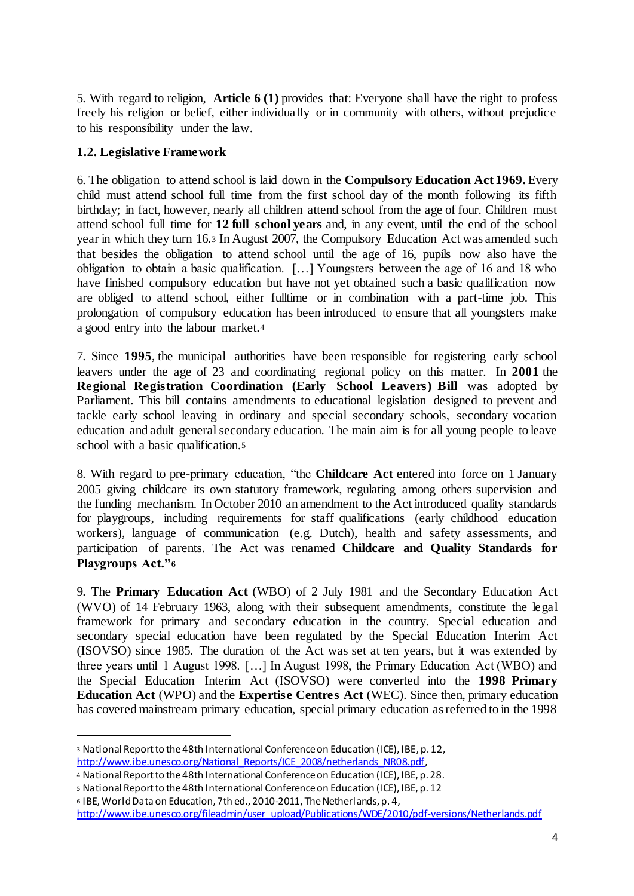5. With regard to religion, **Article 6 (1)** provides that: Everyone shall have the right to profess freely his religion or belief, either individually or in community with others, without prejudice to his responsibility under the law.

### **1.2. Legislative Framework**

6. The obligation to attend school is laid down in the **Compulsory Education Act 1969.** Every child must attend school full time from the first school day of the month following its fifth birthday; in fact, however, nearly all children attend school from the age of four. Children must attend school full time for **12 full school years** and, in any event, until the end of the school year in which they turn 16.<sup>3</sup> In August 2007, the Compulsory Education Act was amended such that besides the obligation to attend school until the age of 16, pupils now also have the obligation to obtain a basic qualification. […] Youngsters between the age of 16 and 18 who have finished compulsory education but have not yet obtained such a basic qualification now are obliged to attend school, either fulltime or in combination with a part-time job. This prolongation of compulsory education has been introduced to ensure that all youngsters make a good entry into the labour market.<sup>4</sup>

7. Since **1995**, the municipal authorities have been responsible for registering early school leavers under the age of 23 and coordinating regional policy on this matter. In **2001** the **Regional Registration Coordination (Early School Leavers) Bill** was adopted by Parliament. This bill contains amendments to educational legislation designed to prevent and tackle early school leaving in ordinary and special secondary schools, secondary vocation education and adult general secondary education. The main aim is for all young people to leave school with a basic qualification.<sup>5</sup>

8. With regard to pre-primary education, "the **Childcare Act** entered into force on 1 January 2005 giving childcare its own statutory framework, regulating among others supervision and the funding mechanism. In October 2010 an amendment to the Act introduced quality standards for playgroups, including requirements for staff qualifications (early childhood education workers), language of communication (e.g. Dutch), health and safety assessments, and participation of parents. The Act was renamed **Childcare and Quality Standards for Playgroups Act."<sup>6</sup>**

9. The **Primary Education Act** (WBO) of 2 July 1981 and the Secondary Education Act (WVO) of 14 February 1963, along with their subsequent amendments, constitute the legal framework for primary and secondary education in the country. Special education and secondary special education have been regulated by the Special Education Interim Act (ISOVSO) since 1985. The duration of the Act was set at ten years, but it was extended by three years until 1 August 1998. […] In August 1998, the Primary Education Act (WBO) and the Special Education Interim Act (ISOVSO) were converted into the **1998 Primary Education Act** (WPO) and the **Expertise Centres Act** (WEC). Since then, primary education has covered mainstream primary education, special primary education as referred to in the 1998

<sup>6</sup> IBE, World Data on Education, 7th ed., 2010-2011, The Netherlands, p. 4,

<sup>3</sup> National Report to the 48th International Conference on Education (ICE), IBE, p. 12, http://www.ibe.unesco.org/National\_Reports/ICE\_2008/netherlands\_NR08.pdf,

<sup>4</sup> National Report to the 48th International Conference on Education (ICE), IBE, p. 28.

<sup>5</sup> National Report to the 48th International Conference on Education (ICE), IBE, p. 12

http://www.ibe.unesco.org/fileadmin/user\_upload/Publications/WDE/2010/pdf-versions/Netherlands.pdf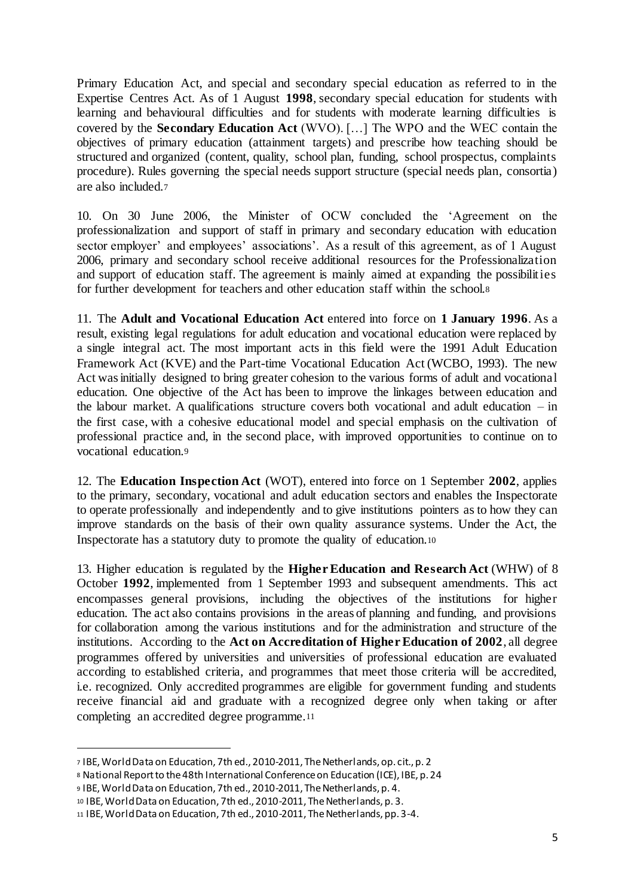Primary Education Act, and special and secondary special education as referred to in the Expertise Centres Act. As of 1 August **1998**, secondary special education for students with learning and behavioural difficulties and for students with moderate learning difficulties is covered by the **Secondary Education Act** (WVO). […] The WPO and the WEC contain the objectives of primary education (attainment targets) and prescribe how teaching should be structured and organized (content, quality, school plan, funding, school prospectus, complaints procedure). Rules governing the special needs support structure (special needs plan, consortia) are also included.<sup>7</sup>

10. On 30 June 2006, the Minister of OCW concluded the 'Agreement on the professionalization and support of staff in primary and secondary education with education sector employer' and employees' associations'. As a result of this agreement, as of 1 August 2006, primary and secondary school receive additional resources for the Professionalization and support of education staff. The agreement is mainly aimed at expanding the possibilities for further development for teachers and other education staff within the school.<sup>8</sup>

11. The **Adult and Vocational Education Act** entered into force on **1 January 1996**. As a result, existing legal regulations for adult education and vocational education were replaced by a single integral act. The most important acts in this field were the 1991 Adult Education Framework Act (KVE) and the Part-time Vocational Education Act (WCBO, 1993). The new Act was initially designed to bring greater cohesion to the various forms of adult and vocational education. One objective of the Act has been to improve the linkages between education and the labour market. A qualifications structure covers both vocational and adult education – in the first case, with a cohesive educational model and special emphasis on the cultivation of professional practice and, in the second place, with improved opportunities to continue on to vocational education.<sup>9</sup>

12. The **Education Inspection Act** (WOT), entered into force on 1 September **2002**, applies to the primary, secondary, vocational and adult education sectors and enables the Inspectorate to operate professionally and independently and to give institutions pointers as to how they can improve standards on the basis of their own quality assurance systems. Under the Act, the Inspectorate has a statutory duty to promote the quality of education.<sup>10</sup>

13. Higher education is regulated by the **Higher Education and Research Act** (WHW) of 8 October **1992**, implemented from 1 September 1993 and subsequent amendments. This act encompasses general provisions, including the objectives of the institutions for higher education. The act also contains provisions in the areas of planning and funding, and provisions for collaboration among the various institutions and for the administration and structure of the institutions. According to the **Act on Accreditation of Higher Education of 2002**, all degree programmes offered by universities and universities of professional education are evaluated according to established criteria, and programmes that meet those criteria will be accredited, i.e. recognized. Only accredited programmes are eligible for government funding and students receive financial aid and graduate with a recognized degree only when taking or after completing an accredited degree programme.<sup>11</sup>

<sup>7</sup> IBE, World Data on Education, 7th ed., 2010-2011, The Netherlands, op. cit., p. 2

<sup>8</sup> National Report to the 48th International Conference on Education (ICE), IBE, p. 24

<sup>9</sup> IBE, World Data on Education, 7th ed., 2010-2011, The Netherlands, p. 4.

<sup>10</sup> IBE, World Data on Education, 7th ed., 2010-2011, The Netherlands, p. 3.

<sup>11</sup> IBE, World Data on Education, 7th ed., 2010-2011, The Netherlands, pp. 3-4.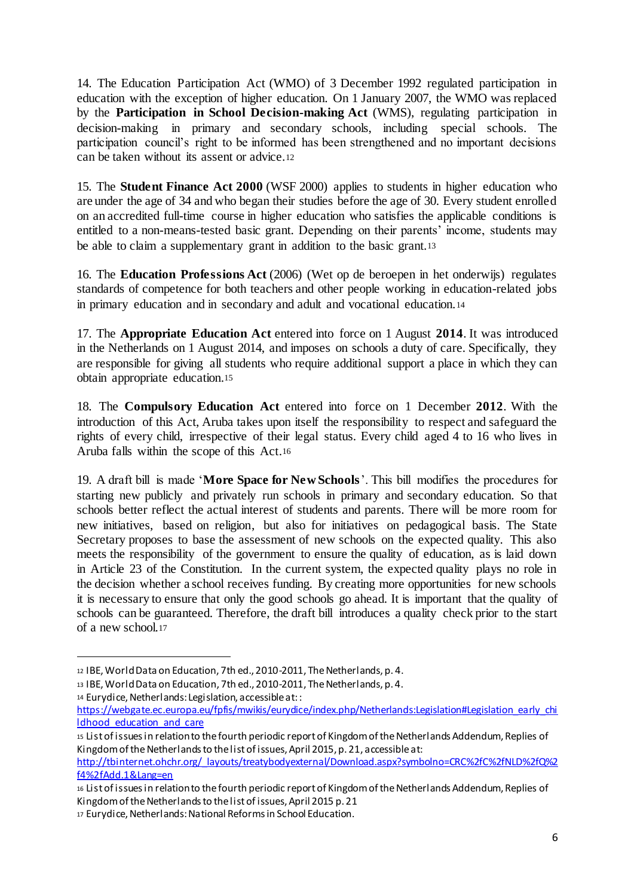14. The Education Participation Act (WMO) of 3 December 1992 regulated participation in education with the exception of higher education. On 1 January 2007, the WMO was replaced by the **Participation in School Decision-making Act** (WMS), regulating participation in decision-making in primary and secondary schools, including special schools. The participation council's right to be informed has been strengthened and no important decisions can be taken without its assent or advice.<sup>12</sup>

15. The **Student Finance Act 2000** (WSF 2000) applies to students in higher education who are under the age of 34 and who began their studies before the age of 30. Every student enrolled on an accredited full-time course in higher education who satisfies the applicable conditions is entitled to a non-means-tested basic grant. Depending on their parents' income, students may be able to claim a supplementary grant in addition to the basic grant.<sup>13</sup>

16. The **Education Professions Act** (2006) (Wet op de beroepen in het onderwijs) regulates standards of competence for both teachers and other people working in education-related jobs in primary education and in secondary and adult and vocational education.<sup>14</sup>

17. The **Appropriate Education Act** entered into force on 1 August **2014**. It was introduced in the Netherlands on 1 August 2014, and imposes on schools a duty of care. Specifically, they are responsible for giving all students who require additional support a place in which they can obtain appropriate education.<sup>15</sup>

18. The **Compulsory Education Act** entered into force on 1 December **2012**. With the introduction of this Act, Aruba takes upon itself the responsibility to respect and safeguard the rights of every child, irrespective of their legal status. Every child aged 4 to 16 who lives in Aruba falls within the scope of this Act.<sup>16</sup>

19. A draft bill is made '**More Space for New Schools**'. This bill modifies the procedures for starting new publicly and privately run schools in primary and secondary education. So that schools better reflect the actual interest of students and parents. There will be more room for new initiatives, based on religion, but also for initiatives on pedagogical basis. The State Secretary proposes to base the assessment of new schools on the expected quality. This also meets the responsibility of the government to ensure the quality of education, as is laid down in Article 23 of the Constitution. In the current system, the expected quality plays no role in the decision whether a school receives funding. By creating more opportunities for new schools it is necessary to ensure that only the good schools go ahead. It is important that the quality of schools can be guaranteed. Therefore, the draft bill introduces a quality check prior to the start of a new school.<sup>17</sup>

<sup>12</sup> IBE, World Data on Education, 7th ed., 2010-2011, The Netherlands, p. 4.

<sup>13</sup> IBE, World Data on Education, 7th ed., 2010-2011, The Netherlands, p. 4.

<sup>14</sup> Eurydice, Netherlands: Legislation, accessible at::

https://webgate.ec.europa.eu/fpfis/mwikis/eurydice/index.php/Netherlands:Legislation#Legislation\_early\_chi Idhood education and care

<sup>15</sup> List of issues in relation to the fourth periodic report of Kingdom of the Netherlands Addendum, Replies of Kingdom of the Netherlands to the list of issues, April 2015, p. 21, accessible at:

http://tbinternet.ohchr.org/\_layouts/treatybodyexternal/Download.aspx?symbolno=CRC%2fC%2fNLD%2fQ%2 f4%2fAdd.1&Lang=en

<sup>16</sup> List of issues in relation to the fourth periodic report of Kingdom of the Netherlands Addendum, Replies of Kingdom of the Netherlands to the list of issues, April 2015 p. 21

<sup>17</sup> Eurydice, Netherlands: National Reforms in School Education.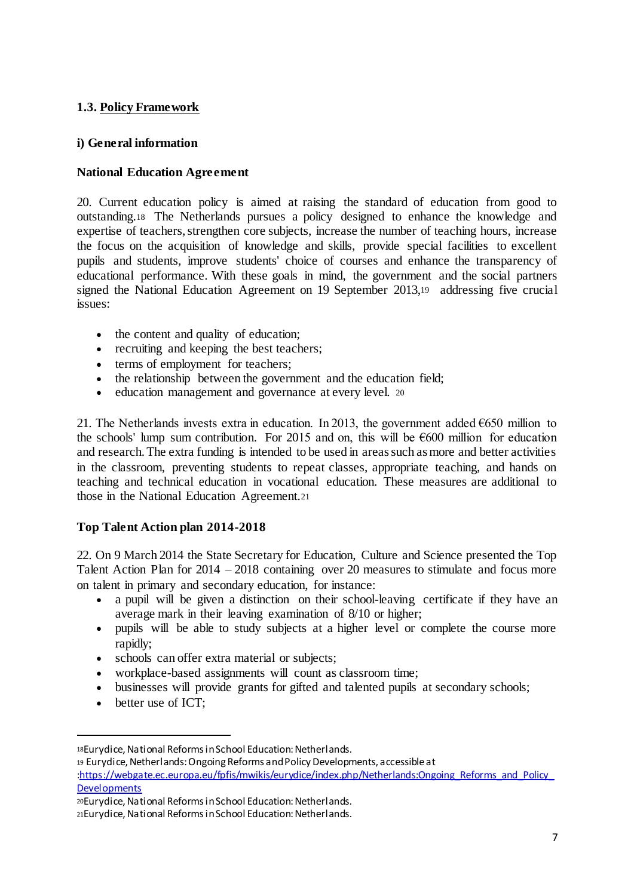## **1.3. Policy Framework**

### **i) General information**

### **National Education Agreement**

20. Current education policy is aimed at raising the standard of education from good to outstanding.<sup>18</sup> The Netherlands pursues a policy designed to enhance the knowledge and expertise of teachers, strengthen core subjects, increase the number of teaching hours, increase the focus on the acquisition of knowledge and skills, provide special facilities to excellent pupils and students, improve students' choice of courses and enhance the transparency of educational performance. With these goals in mind, the government and the social partners signed the National Education Agreement on 19 September 2013,<sup>19</sup> addressing five crucial issues:

- the content and quality of education;
- recruiting and keeping the best teachers;
- terms of employment for teachers;
- the relationship between the government and the education field;
- education management and governance at every level. <sup>20</sup>

21. The Netherlands invests extra in education. In 2013, the government added  $\epsilon$ 650 million to the schools' lump sum contribution. For 2015 and on, this will be  $\epsilon$ 600 million for education and research. The extra funding is intended to be used in areas such as more and better activities in the classroom, preventing students to repeat classes, appropriate teaching, and hands on teaching and technical education in vocational education. These measures are additional to those in the National Education Agreement.<sup>21</sup>

## **Top Talent Action plan 2014-2018**

22. On 9 March 2014 the State Secretary for Education, Culture and Science presented the Top Talent Action Plan for 2014 – 2018 containing over 20 measures to stimulate and focus more on talent in primary and secondary education, for instance:

- a pupil will be given a distinction on their school-leaving certificate if they have an average mark in their leaving examination of 8/10 or higher;
- pupils will be able to study subjects at a higher level or complete the course more rapidly;
- schools can offer extra material or subjects;
- workplace-based assignments will count as classroom time;
- businesses will provide grants for gifted and talented pupils at secondary schools;
- better use of ICT:

<sup>18</sup>Eurydice, National Reforms in School Education: Netherlands.

<sup>19</sup> Eurydice, Netherlands: Ongoing Reforms and Policy Developments, accessible at

<sup>:</sup>https://webgate.ec.europa.eu/fpfis/mwikis/eurydice/index.php/Netherlands:Ongoing\_Reforms\_and\_Policy **Developments** 

<sup>20</sup>Eurydice, National Reforms in School Education: Netherlands.

<sup>21</sup>Eurydice, National Reforms in School Education: Netherlands.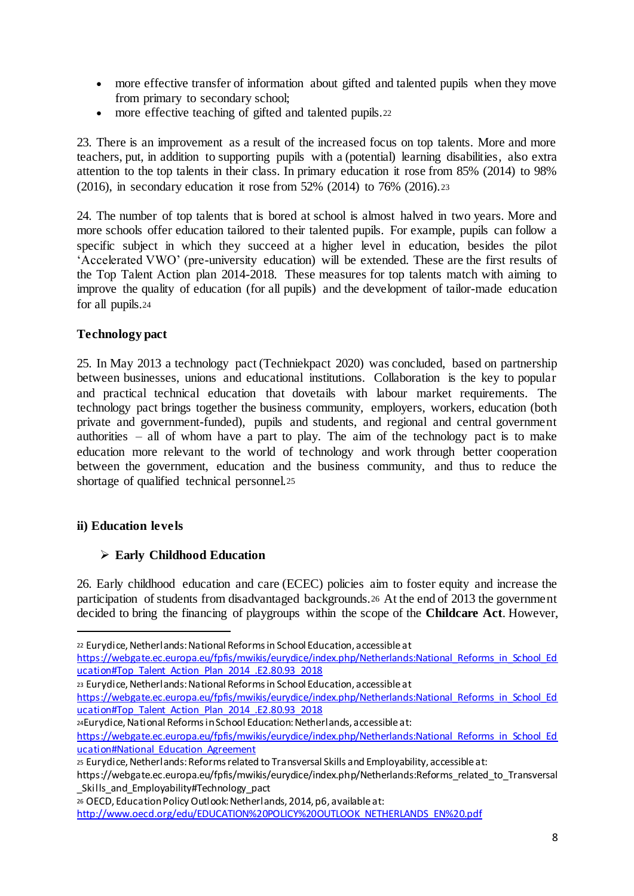- more effective transfer of information about gifted and talented pupils when they move from primary to secondary school;
- more effective teaching of gifted and talented pupils. 22

23. There is an improvement as a result of the increased focus on top talents. More and more teachers, put, in addition to supporting pupils with a (potential) learning disabilities, also extra attention to the top talents in their class. In primary education it rose from 85% (2014) to 98% (2016), in secondary education it rose from 52% (2014) to 76% (2016).<sup>23</sup>

24. The number of top talents that is bored at school is almost halved in two years. More and more schools offer education tailored to their talented pupils. For example, pupils can follow a specific subject in which they succeed at a higher level in education, besides the pilot 'Accelerated VWO' (pre-university education) will be extended. These are the first results of the Top Talent Action plan 2014-2018. These measures for top talents match with aiming to improve the quality of education (for all pupils) and the development of tailor-made education for all pupils.<sup>24</sup>

## **Technology pact**

25. In May 2013 a technology pact (Techniekpact 2020) was concluded, based on partnership between businesses, unions and educational institutions. Collaboration is the key to popular and practical technical education that dovetails with labour market requirements. The technology pact brings together the business community, employers, workers, education (both private and government-funded), pupils and students, and regional and central government authorities – all of whom have a part to play. The aim of the technology pact is to make education more relevant to the world of technology and work through better cooperation between the government, education and the business community, and thus to reduce the shortage of qualified technical personnel.<sup>25</sup>

## **ii) Education levels**

1

## **Early Childhood Education**

26. Early childhood education and care (ECEC) policies aim to foster equity and increase the participation of students from disadvantaged backgrounds.<sup>26</sup> At the end of 2013 the government decided to bring the financing of playgroups within the scope of the **Childcare Act**. However,

<sup>22</sup> Eurydice, Netherlands: National Reforms in School Education, accessible at

https://webgate.ec.europa.eu/fpfis/mwikis/eurydice/index.php/Netherlands:National\_Reforms\_in\_School\_Ed ucation#Top\_Talent\_Action\_Plan\_2014\_.E2.80.93\_2018

<sup>23</sup> Eurydice, Netherlands: National Reforms in School Education, accessible at https://webgate.ec.europa.eu/fpfis/mwikis/eurydice/index.php/Netherlands:National\_Reforms\_in\_School\_Ed

ucation#Top\_Talent\_Action\_Plan\_2014\_.E2.80.93\_2018

<sup>24</sup>Eurydice, National Reforms in School Education: Netherlands, accessible at:

https://webgate.ec.europa.eu/fpfis/mwikis/eurydice/index.php/Netherlands:National\_Reforms\_in\_School\_Ed ucation#National Education Agreement

<sup>25</sup> Eurydice, Netherlands: Reforms related to Transversal Skills and Employability, accessible at:

https://webgate.ec.europa.eu/fpfis/mwikis/eurydice/index.php/Netherlands:Reforms\_related\_to\_Transversal \_Skills\_and\_Employability#Technology\_pact

<sup>26</sup> OECD, Education Policy Outlook: Netherlands, 2014, p6, available at:

http://www.oecd.org/edu/EDUCATION%20POLICY%20OUTLOOK\_NETHERLANDS\_EN%20.pdf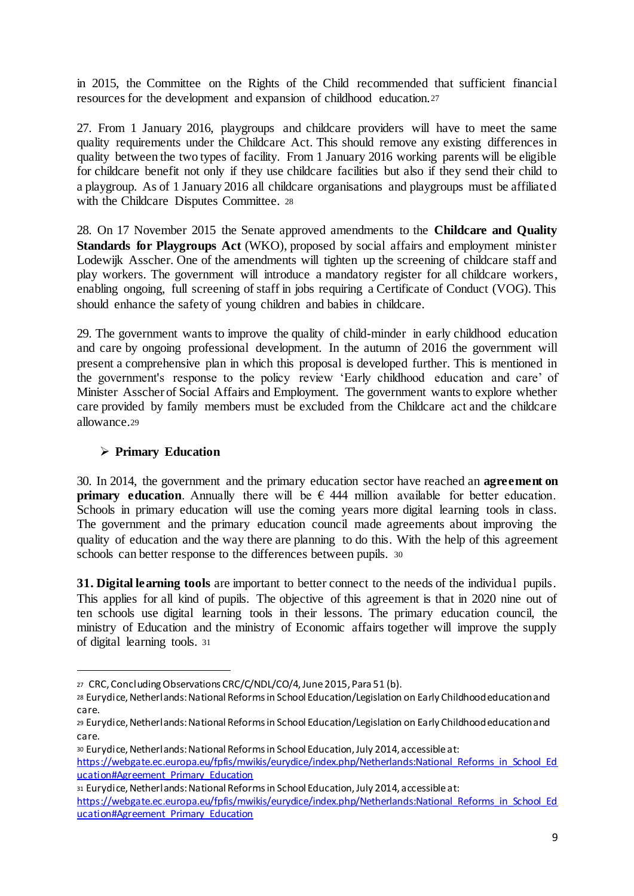in 2015, the Committee on the Rights of the Child recommended that sufficient financial resources for the development and expansion of childhood education.<sup>27</sup>

27. From 1 January 2016, playgroups and childcare providers will have to meet the same quality requirements under the Childcare Act. This should remove any existing differences in quality between the two types of facility. From 1 January 2016 working parents will be eligible for childcare benefit not only if they use childcare facilities but also if they send their child to a playgroup. As of 1 January 2016 all childcare organisations and playgroups must be affiliated with the Childcare Disputes Committee. <sup>28</sup>

28. On 17 November 2015 the Senate approved amendments to the **Childcare and Quality Standards for Playgroups Act** (WKO), proposed by social affairs and employment minister Lodewijk Asscher. One of the amendments will tighten up the screening of childcare staff and play workers. The government will introduce a mandatory register for all childcare workers, enabling ongoing, full screening of staff in jobs requiring a Certificate of Conduct (VOG). This should enhance the safety of young children and babies in childcare.

29. The government wants to improve the quality of child-minder in early childhood education and care by ongoing professional development. In the autumn of 2016 the government will present a comprehensive plan in which this proposal is developed further. This is mentioned in the government's response to the policy review 'Early childhood education and care' of Minister Asscher of Social Affairs and Employment. The government wants to explore whether care provided by family members must be excluded from the Childcare act and the childcare allowance.<sup>29</sup>

## **Primary Education**

 $\overline{a}$ 

30. In 2014, the government and the primary education sector have reached an **agreement on primary education**. Annually there will be  $\epsilon$  444 million available for better education. Schools in primary education will use the coming years more digital learning tools in class. The government and the primary education council made agreements about improving the quality of education and the way there are planning to do this. With the help of this agreement schools can better response to the differences between pupils. <sup>30</sup>

**31. Digital learning tools** are important to better connect to the needs of the individual pupils. This applies for all kind of pupils. The objective of this agreement is that in 2020 nine out of ten schools use digital learning tools in their lessons. The primary education council, the ministry of Education and the ministry of Economic affairs together will improve the supply of digital learning tools. <sup>31</sup>

<sup>27</sup> CRC, Concluding Observations CRC/C/NDL/CO/4, June 2015, Para 51 (b).

<sup>28</sup> Eurydice, Netherlands: National Reforms in School Education/Legislation on Early Childhood education and care.

<sup>29</sup> Eurydice, Netherlands: National Reforms in School Education/Legislation on Early Childhood education and care.

<sup>30</sup> Eurydice, Netherlands: National Reforms in School Education, July 2014, accessible at:

https://webgate.ec.europa.eu/fpfis/mwikis/eurydice/index.php/Netherlands:National\_Reforms\_in\_School\_Ed ucation#Agreement\_Primary\_Education

<sup>31</sup> Eurydice, Netherlands: National Reforms in School Education, July 2014, accessible at:

https://webgate.ec.europa.eu/fpfis/mwikis/eurydice/index.php/Netherlands:National\_Reforms\_in\_School\_Ed ucation#Agreement Primary Education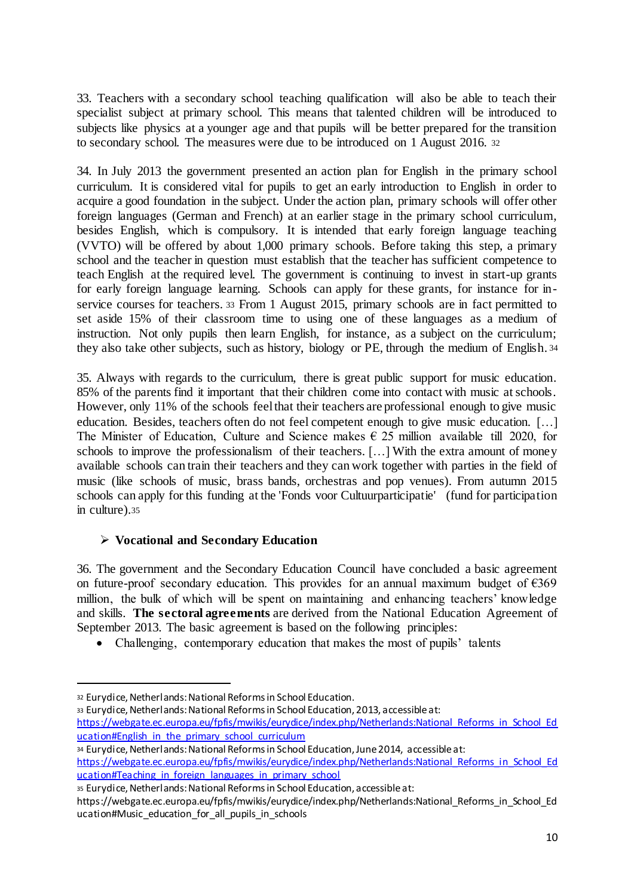33. Teachers with a secondary school teaching qualification will also be able to teach their specialist subject at primary school. This means that talented children will be introduced to subjects like physics at a younger age and that pupils will be better prepared for the transition to secondary school. The measures were due to be introduced on 1 August 2016. <sup>32</sup>

34. In July 2013 the government presented an action plan for English in the primary school curriculum. It is considered vital for pupils to get an early introduction to English in order to acquire a good foundation in the subject. Under the action plan, primary schools will offer other foreign languages (German and French) at an earlier stage in the primary school curriculum, besides English, which is compulsory. It is intended that early foreign language teaching (VVTO) will be offered by about 1,000 primary schools. Before taking this step, a primary school and the teacher in question must establish that the teacher has sufficient competence to teach English at the required level. The government is continuing to invest in start-up grants for early foreign language learning. Schools can apply for these grants, for instance for inservice courses for teachers. <sup>33</sup> From 1 August 2015, primary schools are in fact permitted to set aside 15% of their classroom time to using one of these languages as a medium of instruction. Not only pupils then learn English, for instance, as a subject on the curriculum; they also take other subjects, such as history, biology or PE, through the medium of English. <sup>34</sup>

35. Always with regards to the curriculum, there is great public support for music education. 85% of the parents find it important that their children come into contact with music at schools. However, only 11% of the schools feel that their teachers are professional enough to give music education. Besides, teachers often do not feel competent enough to give music education. […] The Minister of Education, Culture and Science makes  $\epsilon$  25 million available till 2020, for schools to improve the professionalism of their teachers. […] With the extra amount of money available schools can train their teachers and they can work together with parties in the field of music (like schools of music, brass bands, orchestras and pop venues). From autumn 2015 schools can apply for this funding at the 'Fonds voor Cultuurparticipatie' (fund for participation in culture).<sup>35</sup>

# **Vocational and Secondary Education**

36. The government and the Secondary Education Council have concluded a basic agreement on future-proof secondary education. This provides for an annual maximum budget of  $\epsilon$ 369 million, the bulk of which will be spent on maintaining and enhancing teachers' knowledge and skills. **The sectoral agreements** are derived from the National Education Agreement of September 2013. The basic agreement is based on the following principles:

• Challenging, contemporary education that makes the most of pupils' talents

 $\overline{a}$ 

<sup>33</sup> Eurydice, Netherlands: National Reforms in School Education, 2013, accessible at: https://webgate.ec.europa.eu/fpfis/mwikis/eurydice/index.php/Netherlands:National\_Reforms\_in\_School\_Ed ucation#English\_in\_the\_primary\_school\_curriculum

<sup>32</sup> Eurydice, Netherlands: National Reforms in School Education.

<sup>34</sup> Eurydice, Netherlands: National Reforms in School Education, June 2014, accessible at: https://webgate.ec.europa.eu/fpfis/mwikis/eurydice/index.php/Netherlands:National\_Reforms\_in\_School\_Ed ucation#Teaching\_in\_foreign\_languages\_in\_primary\_school

<sup>35</sup> Eurydice, Netherlands: National Reforms in School Education, accessible at:

https://webgate.ec.europa.eu/fpfis/mwikis/eurydice/index.php/Netherlands:National\_Reforms\_in\_School\_Ed ucation#Music\_education\_for\_all\_pupils\_in\_schools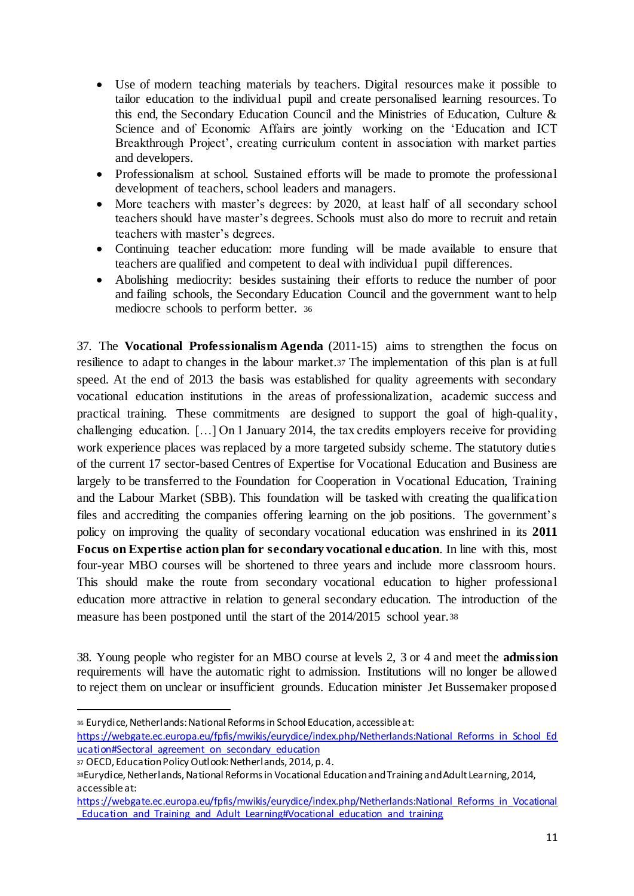- Use of modern teaching materials by teachers. Digital resources make it possible to tailor education to the individual pupil and create personalised learning resources. To this end, the Secondary Education Council and the Ministries of Education, Culture & Science and of Economic Affairs are jointly working on the 'Education and ICT Breakthrough Project', creating curriculum content in association with market parties and developers.
- Professionalism at school. Sustained efforts will be made to promote the professional development of teachers, school leaders and managers.
- More teachers with master's degrees: by 2020, at least half of all secondary school teachers should have master's degrees. Schools must also do more to recruit and retain teachers with master's degrees.
- Continuing teacher education: more funding will be made available to ensure that teachers are qualified and competent to deal with individual pupil differences.
- Abolishing mediocrity: besides sustaining their efforts to reduce the number of poor and failing schools, the Secondary Education Council and the government want to help mediocre schools to perform better. <sup>36</sup>

37. The **Vocational Professionalism Agenda** (2011-15) aims to strengthen the focus on resilience to adapt to changes in the labour market.<sup>37</sup> The implementation of this plan is at full speed. At the end of 2013 the basis was established for quality agreements with secondary vocational education institutions in the areas of professionalization, academic success and practical training. These commitments are designed to support the goal of high-quality, challenging education. […] On 1 January 2014, the tax credits employers receive for providing work experience places was replaced by a more targeted subsidy scheme. The statutory duties of the current 17 sector-based Centres of Expertise for Vocational Education and Business are largely to be transferred to the Foundation for Cooperation in Vocational Education, Training and the Labour Market (SBB). This foundation will be tasked with creating the qualification files and accrediting the companies offering learning on the job positions. The government's policy on improving the quality of secondary vocational education was enshrined in its **2011 Focus on Expertise action plan for secondary vocational education**. In line with this, most four-year MBO courses will be shortened to three years and include more classroom hours. This should make the route from secondary vocational education to higher professional education more attractive in relation to general secondary education. The introduction of the measure has been postponed until the start of the 2014/2015 school year.<sup>38</sup>

38. Young people who register for an MBO course at levels 2, 3 or 4 and meet the **admission** requirements will have the automatic right to admission. Institutions will no longer be allowed to reject them on unclear or insufficient grounds. Education minister Jet Bussemaker proposed

37 OECD, Education Policy Outlook: Netherlands, 2014, p. 4.

<sup>36</sup> Eurydice, Netherlands: National Reforms in School Education, accessible at: https://webgate.ec.europa.eu/fpfis/mwikis/eurydice/index.php/Netherlands:National\_Reforms\_in\_School\_Ed ucation#Sectoral\_agreement\_on\_secondary\_education

<sup>38</sup>Eurydice, Netherlands, National Reforms in Vocational Education and Training and Adult Learning, 2014, accessible at:

https://webgate.ec.europa.eu/fpfis/mwikis/eurydice/index.php/Netherlands:National\_Reforms\_in\_Vocational \_Education\_and\_Training\_and\_Adult\_Learning#Vocational\_education\_and\_training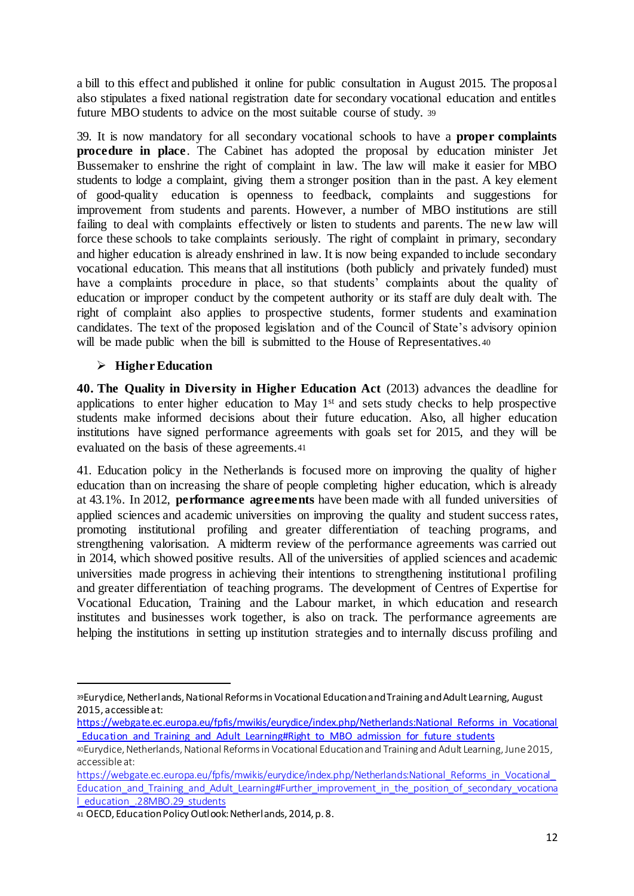a bill to this effect and published it online for public consultation in August 2015. The proposal also stipulates a fixed national registration date for secondary vocational education and entitles future MBO students to advice on the most suitable course of study. <sup>39</sup>

39. It is now mandatory for all secondary vocational schools to have a **proper complaints procedure in place**. The Cabinet has adopted the proposal by education minister Jet Bussemaker to enshrine the right of complaint in law. The law will make it easier for MBO students to lodge a complaint, giving them a stronger position than in the past. A key element of good-quality education is openness to feedback, complaints and suggestions for improvement from students and parents. However, a number of MBO institutions are still failing to deal with complaints effectively or listen to students and parents. The new law will force these schools to take complaints seriously. The right of complaint in primary, secondary and higher education is already enshrined in law. It is now being expanded to include secondary vocational education. This means that all institutions (both publicly and privately funded) must have a complaints procedure in place, so that students' complaints about the quality of education or improper conduct by the competent authority or its staff are duly dealt with. The right of complaint also applies to prospective students, former students and examination candidates. The text of the proposed legislation and of the Council of State's advisory opinion will be made public when the bill is submitted to the House of Representatives.<sup>40</sup>

## **Higher Education**

 $\overline{a}$ 

**40. The Quality in Diversity in Higher Education Act** (2013) advances the deadline for applications to enter higher education to May 1st and sets study checks to help prospective students make informed decisions about their future education. Also, all higher education institutions have signed performance agreements with goals set for 2015, and they will be evaluated on the basis of these agreements.<sup>41</sup>

41. Education policy in the Netherlands is focused more on improving the quality of higher education than on increasing the share of people completing higher education, which is already at 43.1%. In 2012, **performance agreements** have been made with all funded universities of applied sciences and academic universities on improving the quality and student success rates, promoting institutional profiling and greater differentiation of teaching programs, and strengthening valorisation. A midterm review of the performance agreements was carried out in 2014, which showed positive results. All of the universities of applied sciences and academic universities made progress in achieving their intentions to strengthening institutional profiling and greater differentiation of teaching programs. The development of Centres of Expertise for Vocational Education, Training and the Labour market, in which education and research institutes and businesses work together, is also on track. The performance agreements are helping the institutions in setting up institution strategies and to internally discuss profiling and

<sup>39</sup>Eurydice, Netherlands, National Reforms in Vocational Education and Training and Adult Learning, August 2015, accessible at:

https://webgate.ec.europa.eu/fpfis/mwikis/eurydice/index.php/Netherlands:National\_Reforms\_in\_Vocational LEducation and Training and Adult Learning#Right to MBO admission for future students

<sup>40</sup>Eurydice, Netherlands, National Reforms in Vocational Education and Training and Adult Learning, June 2015, accessible at:

https://webgate.ec.europa.eu/fpfis/mwikis/eurydice/index.php/Netherlands:National\_Reforms\_in\_Vocational\_ Education\_and\_Training\_and\_Adult\_Learning#Further\_improvement\_in\_the\_position\_of\_secondary\_vocationa l\_education\_.28MBO.29\_students

<sup>41</sup> OECD, Education Policy Outlook: Netherlands, 2014, p. 8.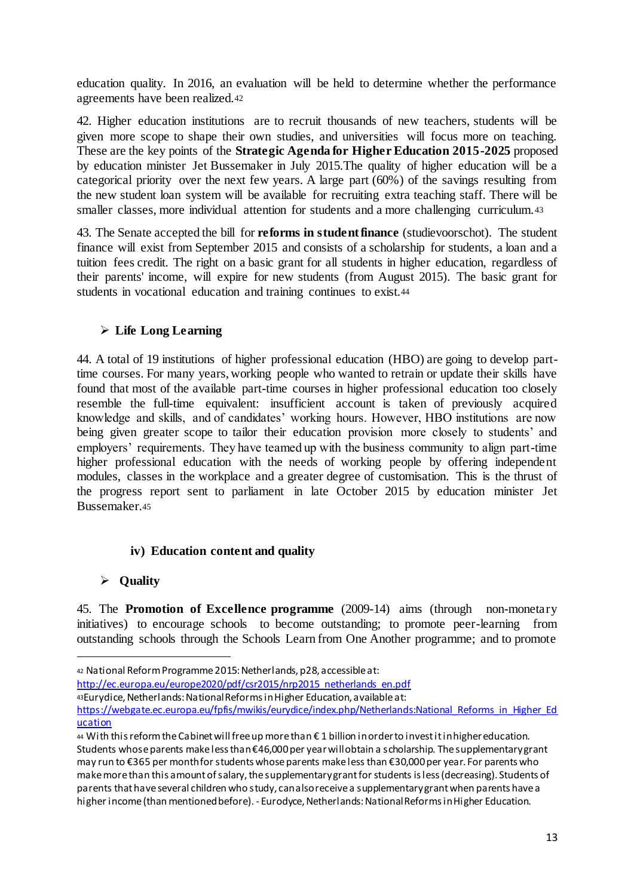education quality. In 2016, an evaluation will be held to determine whether the performance agreements have been realized.<sup>42</sup>

42. Higher education institutions are to recruit thousands of new teachers, students will be given more scope to shape their own studies, and universities will focus more on teaching. These are the key points of the **Strategic Agenda for Higher Education 2015-2025** proposed by education minister Jet Bussemaker in July 2015.The quality of higher education will be a categorical priority over the next few years. A large part (60%) of the savings resulting from the new student loan system will be available for recruiting extra teaching staff. There will be smaller classes, more individual attention for students and a more challenging curriculum. 43

43. The Senate accepted the bill for **reforms in student finance** (studievoorschot). The student finance will exist from September 2015 and consists of a scholarship for students, a loan and a tuition fees credit. The right on a basic grant for all students in higher education, regardless of their parents' income, will expire for new students (from August 2015). The basic grant for students in vocational education and training continues to exist.<sup>44</sup>

## **Life Long Learning**

44. A total of 19 institutions of higher professional education (HBO) are going to develop parttime courses. For many years, working people who wanted to retrain or update their skills have found that most of the available part-time courses in higher professional education too closely resemble the full-time equivalent: insufficient account is taken of previously acquired knowledge and skills, and of candidates' working hours. However, HBO institutions are now being given greater scope to tailor their education provision more closely to students' and employers' requirements. They have teamed up with the business community to align part-time higher professional education with the needs of working people by offering independent modules, classes in the workplace and a greater degree of customisation. This is the thrust of the progress report sent to parliament in late October 2015 by education minister Jet Bussemaker.<sup>45</sup>

## **iv) Education content and quality**

# **Quality**

45. The **Promotion of Excellence programme** (2009-14) aims (through non-monetary initiatives) to encourage schools to become outstanding; to promote peer-learning from outstanding schools through the Schools Learn from One Another programme; and to promote

 $\overline{a}$ <sup>42</sup> National Reform Programme 2015: Netherlands, p28, accessible at:

http://ec.europa.eu/europe2020/pdf/csr2015/nrp2015\_netherlands\_en.pdf

<sup>43</sup>Eurydice, Netherlands: National Reforms in Higher Education, available at:

https://webgate.ec.europa.eu/fpfis/mwikis/eurydice/index.php/Netherlands:National\_Reforms\_in\_Higher\_Ed ucation

<sup>44</sup> With this reform the Cabinet will free up more than € 1 billion in order to invest it in higher education. Students whose parents make less than €46,000 per year will obtain a scholarship. The supplementary grant may run to €365 per month for students whose parents make less than €30,000 per year. For parents who make more than this amount of salary, the supplementary grant for students is less (decreasing). Students of parents that have several children who study, can also receive a supplementary grant when parents have a higher income (than mentioned before). - Eurodyce, Netherlands: National Reforms in Higher Education.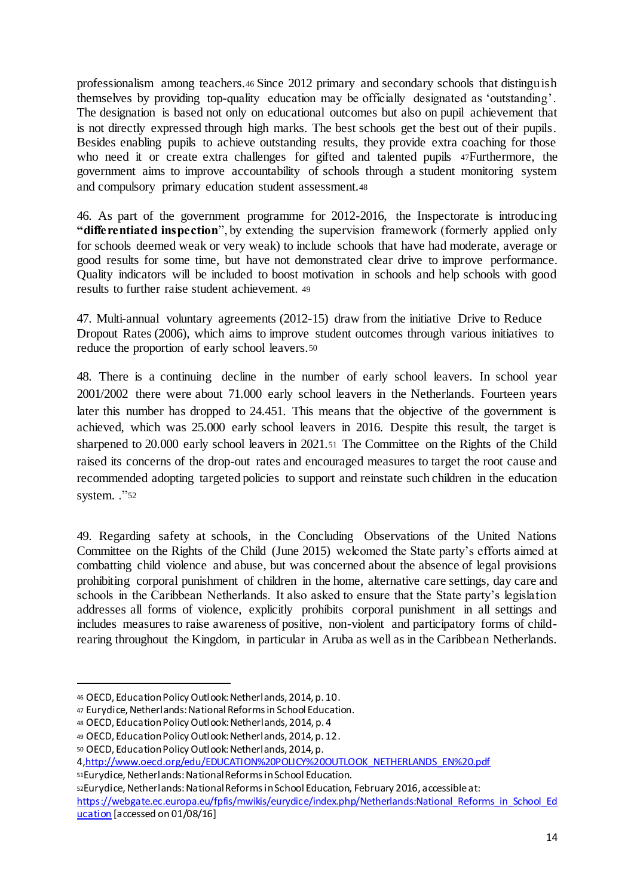professionalism among teachers.<sup>46</sup> Since 2012 primary and secondary schools that distinguish themselves by providing top-quality education may be officially designated as 'outstanding'. The designation is based not only on educational outcomes but also on pupil achievement that is not directly expressed through high marks. The best schools get the best out of their pupils. Besides enabling pupils to achieve outstanding results, they provide extra coaching for those who need it or create extra challenges for gifted and talented pupils <sup>47</sup>Furthermore, the government aims to improve accountability of schools through a student monitoring system and compulsory primary education student assessment.<sup>48</sup>

46. As part of the government programme for 2012-2016, the Inspectorate is introducing **"differentiated inspection**", by extending the supervision framework (formerly applied only for schools deemed weak or very weak) to include schools that have had moderate, average or good results for some time, but have not demonstrated clear drive to improve performance. Quality indicators will be included to boost motivation in schools and help schools with good results to further raise student achievement. <sup>49</sup>

47. Multi-annual voluntary agreements (2012-15) draw from the initiative Drive to Reduce Dropout Rates (2006), which aims to improve student outcomes through various initiatives to reduce the proportion of early school leavers.<sup>50</sup>

48. There is a continuing decline in the number of early school leavers. In school year 2001/2002 there were about 71.000 early school leavers in the Netherlands. Fourteen years later this number has dropped to 24.451. This means that the objective of the government is achieved, which was 25.000 early school leavers in 2016. Despite this result, the target is sharpened to 20.000 early school leavers in 2021.<sup>51</sup> The Committee on the Rights of the Child raised its concerns of the drop-out rates and encouraged measures to target the root cause and recommended adopting targeted policies to support and reinstate such children in the education system. ."<sup>52</sup>

49. Regarding safety at schools, in the Concluding Observations of the United Nations Committee on the Rights of the Child (June 2015) welcomed the State party's efforts aimed at combatting child violence and abuse, but was concerned about the absence of legal provisions prohibiting corporal punishment of children in the home, alternative care settings, day care and schools in the Caribbean Netherlands. It also asked to ensure that the State party's legislation addresses all forms of violence, explicitly prohibits corporal punishment in all settings and includes measures to raise awareness of positive, non-violent and participatory forms of childrearing throughout the Kingdom, in particular in Aruba as well as in the Caribbean Netherlands.

 $\overline{a}$ 

<sup>52</sup>Eurydice, Netherlands: National Reforms in School Education, February 2016, accessible at:

<sup>46</sup> OECD, Education Policy Outlook: Netherlands, 2014, p. 10.

<sup>47</sup> Eurydice, Netherlands: National Reforms in School Education.

<sup>48</sup> OECD, Education Policy Outlook: Netherlands, 2014, p. 4

<sup>49</sup> OECD, Education Policy Outlook: Netherlands, 2014, p. 12.

<sup>50</sup> OECD, Education Policy Outlook: Netherlands, 2014, p.

<sup>4,</sup>http://www.oecd.org/edu/EDUCATION%20POLICY%20OUTLOOK\_NETHERLANDS\_EN%20.pdf

<sup>51</sup>Eurydice, Netherlands: National Reforms in School Education.

https://webgate.ec.europa.eu/fpfis/mwikis/eurydice/index.php/Netherlands:National\_Reforms\_in\_School\_Ed ucation [accessed on 01/08/16]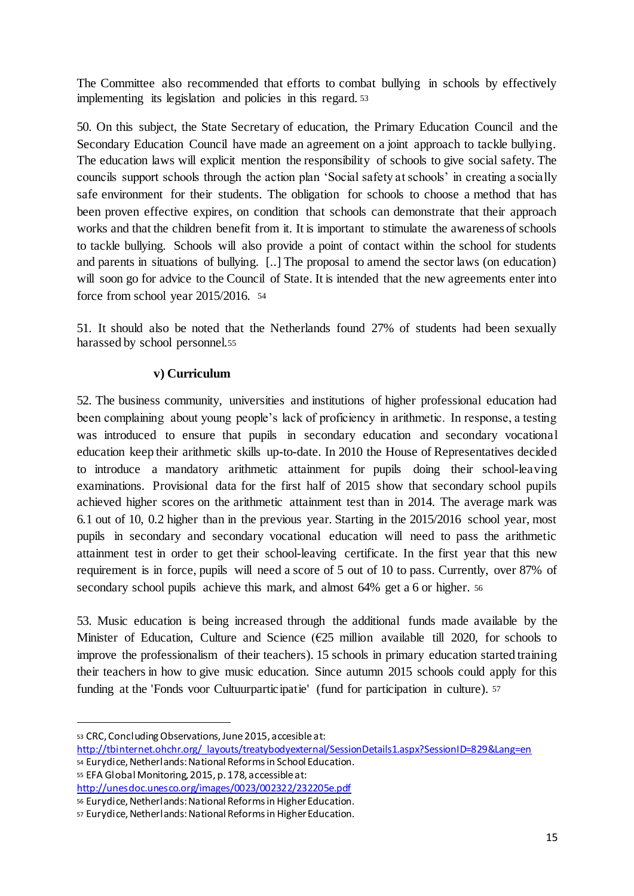The Committee also recommended that efforts to combat bullying in schools by effectively implementing its legislation and policies in this regard. <sup>53</sup>

50. On this subject, the State Secretary of education, the Primary Education Council and the Secondary Education Council have made an agreement on a joint approach to tackle bullying. The education laws will explicit mention the responsibility of schools to give social safety. The councils support schools through the action plan 'Social safety at schools' in creating a socially safe environment for their students. The obligation for schools to choose a method that has been proven effective expires, on condition that schools can demonstrate that their approach works and that the children benefit from it. It is important to stimulate the awareness of schools to tackle bullying. Schools will also provide a point of contact within the school for students and parents in situations of bullying. [..] The proposal to amend the sector laws (on education) will soon go for advice to the Council of State. It is intended that the new agreements enter into force from school year 2015/2016. <sup>54</sup>

51. It should also be noted that the Netherlands found 27% of students had been sexually harassed by school personnel.<sup>55</sup>

#### **v) Curriculum**

52. The business community, universities and institutions of higher professional education had been complaining about young people's lack of proficiency in arithmetic. In response, a testing was introduced to ensure that pupils in secondary education and secondary vocational education keep their arithmetic skills up-to-date. In 2010 the House of Representatives decided to introduce a mandatory arithmetic attainment for pupils doing their school-leaving examinations. Provisional data for the first half of 2015 show that secondary school pupils achieved higher scores on the arithmetic attainment test than in 2014. The average mark was 6.1 out of 10, 0.2 higher than in the previous year. Starting in the 2015/2016 school year, most pupils in secondary and secondary vocational education will need to pass the arithmetic attainment test in order to get their school-leaving certificate. In the first year that this new requirement is in force, pupils will need a score of 5 out of 10 to pass. Currently, over 87% of secondary school pupils achieve this mark, and almost 64% get a 6 or higher. <sup>56</sup>

53. Music education is being increased through the additional funds made available by the Minister of Education, Culture and Science ( $\epsilon$ 25 million available till 2020, for schools to improve the professionalism of their teachers). 15 schools in primary education started training their teachers in how to give music education. Since autumn 2015 schools could apply for this funding at the 'Fonds voor Cultuurparticipatie' (fund for participation in culture). <sup>57</sup>

<sup>53</sup> CRC, Concluding Observations, June 2015, accesible at:

http://tbinternet.ohchr.org/\_layouts/treatybodyexternal/SessionDetails1.aspx?SessionID=829&Lang=en

<sup>54</sup> Eurydice, Netherlands: National Reforms in School Education.

<sup>55</sup> EFA Global Monitoring, 2015, p. 178, accessible at:

http://unesdoc.unesco.org/images/0023/002322/232205e.pdf

<sup>56</sup> Eurydice, Netherlands: National Reforms in Higher Education.

<sup>57</sup> Eurydice, Netherlands: National Reforms in Higher Education.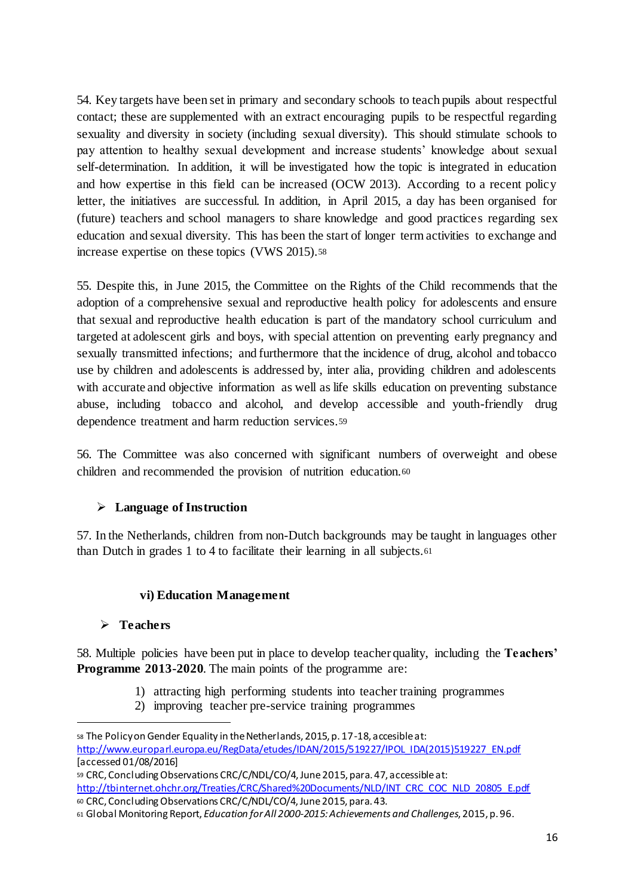54. Key targets have been set in primary and secondary schools to teach pupils about respectful contact; these are supplemented with an extract encouraging pupils to be respectful regarding sexuality and diversity in society (including sexual diversity). This should stimulate schools to pay attention to healthy sexual development and increase students' knowledge about sexual self-determination. In addition, it will be investigated how the topic is integrated in education and how expertise in this field can be increased (OCW 2013). According to a recent policy letter, the initiatives are successful. In addition, in April 2015, a day has been organised for (future) teachers and school managers to share knowledge and good practices regarding sex education and sexual diversity. This has been the start of longer term activities to exchange and increase expertise on these topics (VWS 2015).<sup>58</sup>

55. Despite this, in June 2015, the Committee on the Rights of the Child recommends that the adoption of a comprehensive sexual and reproductive health policy for adolescents and ensure that sexual and reproductive health education is part of the mandatory school curriculum and targeted at adolescent girls and boys, with special attention on preventing early pregnancy and sexually transmitted infections; and furthermore that the incidence of drug, alcohol and tobacco use by children and adolescents is addressed by, inter alia, providing children and adolescents with accurate and objective information as well as life skills education on preventing substance abuse, including tobacco and alcohol, and develop accessible and youth-friendly drug dependence treatment and harm reduction services.<sup>59</sup>

56. The Committee was also concerned with significant numbers of overweight and obese children and recommended the provision of nutrition education.<sup>60</sup>

# **Language of Instruction**

57. In the Netherlands, children from non-Dutch backgrounds may be taught in languages other than Dutch in grades 1 to 4 to facilitate their learning in all subjects.<sup>61</sup>

## **vi) Education Management**

## **Teachers**

 $\overline{a}$ 

58. Multiple policies have been put in place to develop teacher quality, including the **Teachers' Programme 2013-2020**. The main points of the programme are:

- 1) attracting high performing students into teacher training programmes
- 2) improving teacher pre-service training programmes

<sup>58</sup> The Policy on Gender Equality in the Netherlands, 2015, p. 17-18, accesible at: http://www.europarl.europa.eu/RegData/etudes/IDAN/2015/519227/IPOL\_IDA(2015)519227\_EN.pdf [accessed 01/08/2016]

<sup>59</sup> CRC, Concluding Observations CRC/C/NDL/CO/4, June 2015, para. 47, accessible at: http://tbinternet.ohchr.org/Treaties/CRC/Shared%20Documents/NLD/INT\_CRC\_COC\_NLD\_20805\_E.pdf

<sup>60</sup> CRC, Concluding Observations CRC/C/NDL/CO/4, June 2015, para. 43.

<sup>61</sup> Global Monitoring Report, *Education for All 2000-2015: Achievements and Challenges*, 2015, p. 96.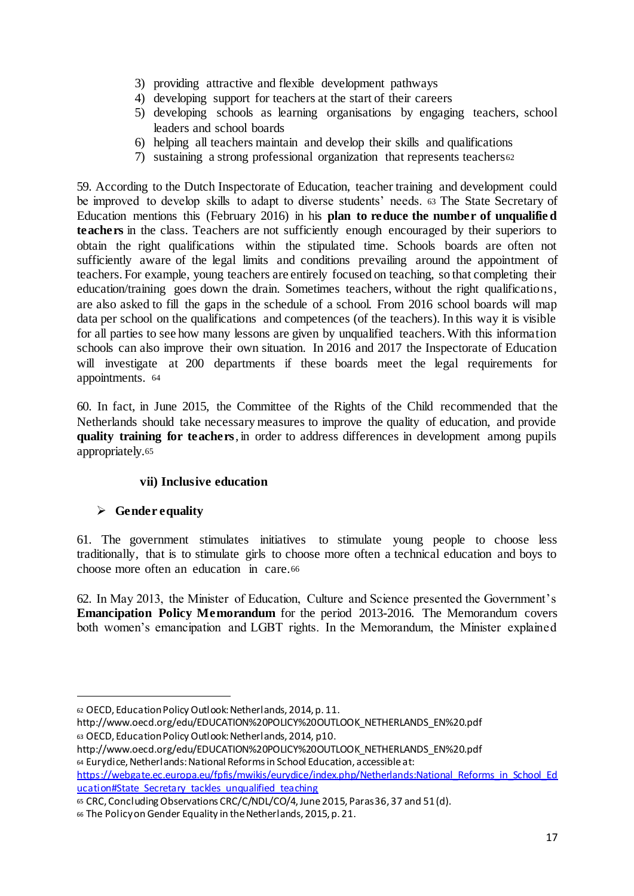- 3) providing attractive and flexible development pathways
- 4) developing support for teachers at the start of their careers
- 5) developing schools as learning organisations by engaging teachers, school leaders and school boards
- 6) helping all teachers maintain and develop their skills and qualifications
- 7) sustaining a strong professional organization that represents teachers<sup>62</sup>

59. According to the Dutch Inspectorate of Education, teacher training and development could be improved to develop skills to adapt to diverse students' needs. <sup>63</sup> The State Secretary of Education mentions this (February 2016) in his **plan to reduce the number of unqualifie d teachers** in the class. Teachers are not sufficiently enough encouraged by their superiors to obtain the right qualifications within the stipulated time. Schools boards are often not sufficiently aware of the legal limits and conditions prevailing around the appointment of teachers. For example, young teachers are entirely focused on teaching, so that completing their education/training goes down the drain. Sometimes teachers, without the right qualifications, are also asked to fill the gaps in the schedule of a school. From 2016 school boards will map data per school on the qualifications and competences (of the teachers). In this way it is visible for all parties to see how many lessons are given by unqualified teachers. With this information schools can also improve their own situation. In 2016 and 2017 the Inspectorate of Education will investigate at 200 departments if these boards meet the legal requirements for appointments. <sup>64</sup>

60. In fact, in June 2015, the Committee of the Rights of the Child recommended that the Netherlands should take necessary measures to improve the quality of education, and provide **quality training for teachers**, in order to address differences in development among pupils appropriately.<sup>65</sup>

## **vii) Inclusive education**

## **Gender equality**

 $\overline{a}$ 

61. The government stimulates initiatives to stimulate young people to choose less traditionally, that is to stimulate girls to choose more often a technical education and boys to choose more often an education in care.<sup>66</sup>

62. In May 2013, the Minister of Education, Culture and Science presented the Government's **Emancipation Policy Memorandum** for the period 2013-2016. The Memorandum covers both women's emancipation and LGBT rights. In the Memorandum, the Minister explained

- http://www.oecd.org/edu/EDUCATION%20POLICY%20OUTLOOK\_NETHERLANDS\_EN%20.pdf <sup>63</sup> OECD, Education Policy Outlook: Netherlands, 2014, p10.
- http://www.oecd.org/edu/EDUCATION%20POLICY%20OUTLOOK\_NETHERLANDS\_EN%20.pdf <sup>64</sup> Eurydice, Netherlands: National Reforms in School Education, accessible at:

<sup>62</sup> OECD, Education Policy Outlook: Netherlands, 2014, p. 11.

https://webgate.ec.europa.eu/fpfis/mwikis/eurydice/index.php/Netherlands:National\_Reforms\_in\_School\_Ed ucation#State\_Secretary\_tackles\_unqualified\_teaching

<sup>65</sup> CRC, Concluding Observations CRC/C/NDL/CO/4, June 2015, Paras 36, 37 and 51 (d).

<sup>66</sup> The Policy on Gender Equality in the Netherlands, 2015, p. 21.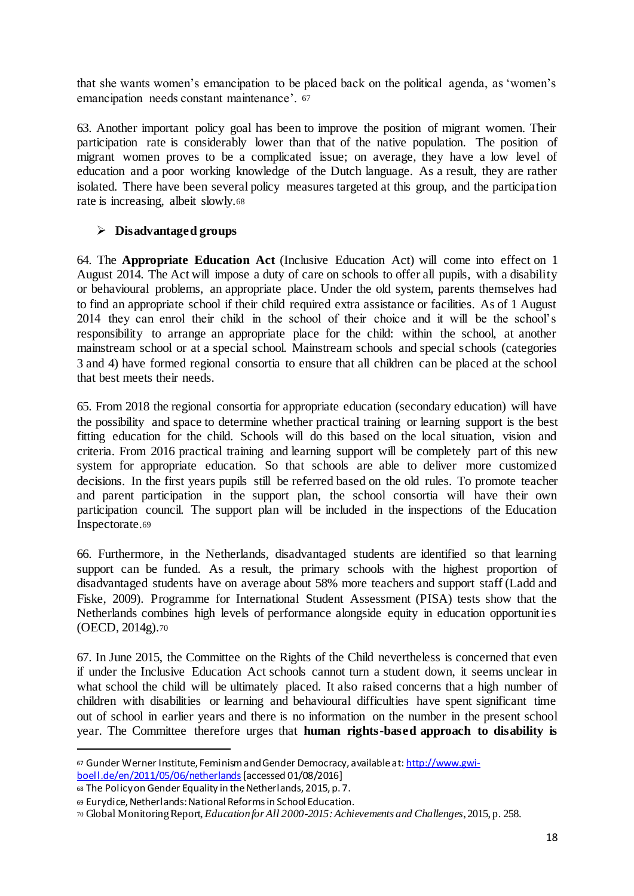that she wants women's emancipation to be placed back on the political agenda, as 'women's emancipation needs constant maintenance'. <sup>67</sup>

63. Another important policy goal has been to improve the position of migrant women. Their participation rate is considerably lower than that of the native population. The position of migrant women proves to be a complicated issue; on average, they have a low level of education and a poor working knowledge of the Dutch language. As a result, they are rather isolated. There have been several policy measures targeted at this group, and the participation rate is increasing, albeit slowly.<sup>68</sup>

## **Disadvantaged groups**

64. The **Appropriate Education Act** (Inclusive Education Act) will come into effect on 1 August 2014. The Act will impose a duty of care on schools to offer all pupils, with a disability or behavioural problems, an appropriate place. Under the old system, parents themselves had to find an appropriate school if their child required extra assistance or facilities. As of 1 August 2014 they can enrol their child in the school of their choice and it will be the school's responsibility to arrange an appropriate place for the child: within the school, at another mainstream school or at a special school. Mainstream schools and special schools (categories 3 and 4) have formed regional consortia to ensure that all children can be placed at the school that best meets their needs.

65. From 2018 the regional consortia for appropriate education (secondary education) will have the possibility and space to determine whether practical training or learning support is the best fitting education for the child. Schools will do this based on the local situation, vision and criteria. From 2016 practical training and learning support will be completely part of this new system for appropriate education. So that schools are able to deliver more customized decisions. In the first years pupils still be referred based on the old rules. To promote teacher and parent participation in the support plan, the school consortia will have their own participation council. The support plan will be included in the inspections of the Education Inspectorate.<sup>69</sup>

66. Furthermore, in the Netherlands, disadvantaged students are identified so that learning support can be funded. As a result, the primary schools with the highest proportion of disadvantaged students have on average about 58% more teachers and support staff (Ladd and Fiske, 2009). Programme for International Student Assessment (PISA) tests show that the Netherlands combines high levels of performance alongside equity in education opportunities (OECD, 2014g).<sup>70</sup>

67. In June 2015, the Committee on the Rights of the Child nevertheless is concerned that even if under the Inclusive Education Act schools cannot turn a student down, it seems unclear in what school the child will be ultimately placed. It also raised concerns that a high number of children with disabilities or learning and behavioural difficulties have spent significant time out of school in earlier years and there is no information on the number in the present school year. The Committee therefore urges that **human rights-based approach to disability is** 

<sup>67</sup> Gunder Werner Institute, Feminism and Gender Democracy, available at: http://www.gwiboell.de/en/2011/05/06/netherlands[accessed 01/08/2016]

<sup>68</sup> The Policy on Gender Equality in the Netherlands, 2015, p. 7.

<sup>69</sup> Eurydice, Netherlands: National Reforms in School Education.

<sup>70</sup> Global Monitoring Report, *Education for All 2000-2015: Achievements and Challenges*, 2015, p. 258.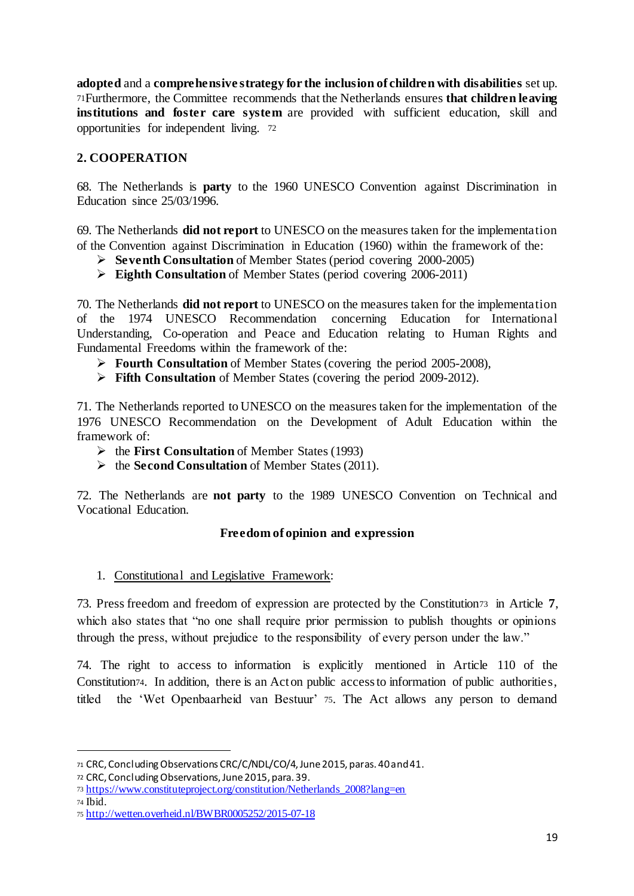**adopted** and a **comprehensive strategy for the inclusion of children with disabilities** set up. <sup>71</sup>Furthermore, the Committee recommends that the Netherlands ensures **that children leaving institutions and foster care system** are provided with sufficient education, skill and opportunities for independent living. <sup>72</sup>

# **2. COOPERATION**

68. The Netherlands is **party** to the 1960 UNESCO Convention against Discrimination in Education since 25/03/1996.

69. The Netherlands **did not report** to UNESCO on the measures taken for the implementation of the Convention against Discrimination in Education (1960) within the framework of the:

- **Seventh Consultation** of Member States (period covering 2000-2005)
- **Eighth Consultation** of Member States (period covering 2006-2011)

70. The Netherlands **did not report** to UNESCO on the measures taken for the implementation of the 1974 UNESCO Recommendation concerning Education for International Understanding, Co-operation and Peace and Education relating to Human Rights and Fundamental Freedoms within the framework of the:

**Fourth Consultation** of Member States (covering the period 2005-2008),

**Fifth Consultation** of Member States (covering the period 2009-2012).

71. The Netherlands reported to UNESCO on the measures taken for the implementation of the 1976 UNESCO Recommendation on the Development of Adult Education within the framework of:

- the **First Consultation** of Member States (1993)
- 

72. The Netherlands are **not party** to the 1989 UNESCO Convention on Technical and Vocational Education.

## **Freedom of opinion and expression**

1. Constitutional and Legislative Framework:

73. Press freedom and freedom of expression are protected by the Constitution<sup>73</sup> in Article **7**, which also states that "no one shall require prior permission to publish thoughts or opinions through the press, without prejudice to the responsibility of every person under the law."

74. The right to access to information is explicitly mentioned in Article 110 of the Constitution74. In addition, there is an Act on public access to information of public authorities, titled the 'Wet Openbaarheid van Bestuur' <sup>75</sup>. The Act allows any person to demand

1

<sup>71</sup> CRC, Concluding Observations CRC/C/NDL/CO/4, June 2015, paras. 40 and 41.

<sup>72</sup> CRC, Concluding Observations, June 2015, para. 39.

<sup>73</sup> https://www.constituteproject.org/constitution/Netherlands\_2008?lang=en

<sup>74</sup> Ibid.

<sup>75</sup> http://wetten.overheid.nl/BWBR0005252/2015-07-18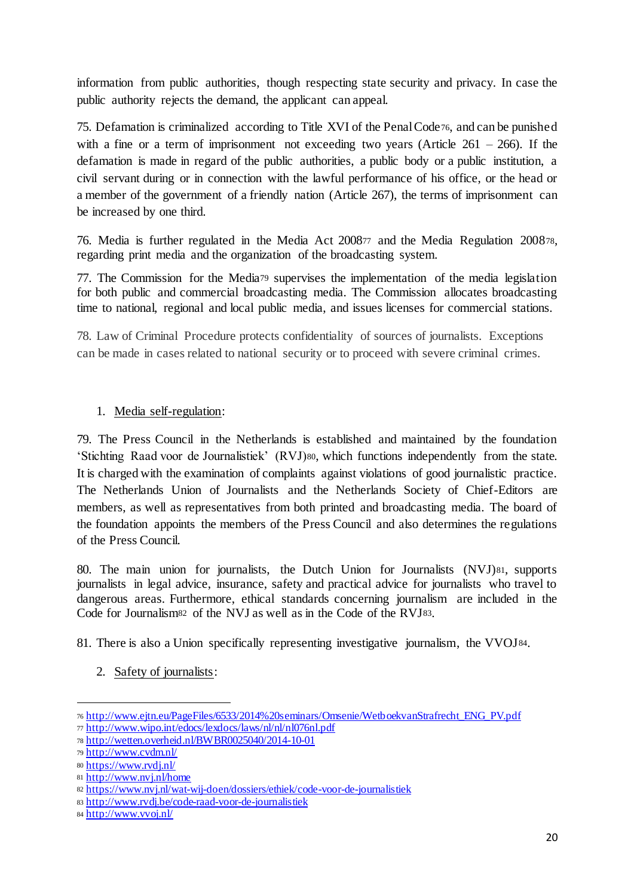information from public authorities, though respecting state security and privacy. In case the public authority rejects the demand, the applicant can appeal.

75. Defamation is criminalized according to Title XVI of the Penal Code76, and can be punished with a fine or a term of imprisonment not exceeding two years (Article  $261 - 266$ ). If the defamation is made in regard of the public authorities, a public body or a public institution, a civil servant during or in connection with the lawful performance of his office, or the head or a member of the government of a friendly nation (Article 267), the terms of imprisonment can be increased by one third.

76. Media is further regulated in the Media Act 2008<sup>77</sup> and the Media Regulation 200878, regarding print media and the organization of the broadcasting system.

77. The Commission for the Media<sup>79</sup> supervises the implementation of the media legislation for both public and commercial broadcasting media. The Commission allocates broadcasting time to national, regional and local public media, and issues licenses for commercial stations.

78. Law of Criminal Procedure protects confidentiality of sources of journalists. Exceptions can be made in cases related to national security or to proceed with severe criminal crimes.

## 1. Media self-regulation:

79. The Press Council in the Netherlands is established and maintained by the foundation 'Stichting Raad voor de Journalistiek' (RVJ)80, which functions independently from the state. It is charged with the examination of complaints against violations of good journalistic practice. The Netherlands Union of Journalists and the Netherlands Society of Chief-Editors are members, as well as representatives from both printed and broadcasting media. The board of the foundation appoints the members of the Press Council and also determines the regulations of the Press Council.

80. The main union for journalists, the Dutch Union for Journalists (NVJ)81, supports journalists in legal advice, insurance, safety and practical advice for journalists who travel to dangerous areas. Furthermore, ethical standards concerning journalism are included in the Code for Journalism<sup>82</sup> of the NVJ as well as in the Code of the RVJ83.

81. There is also a Union specifically representing investigative journalism, the VVOJ84.

2. Safety of journalists:

 $\overline{a}$ <sup>76</sup> http://www.ejtn.eu/PageFiles/6533/2014%20seminars/Omsenie/WetboekvanStrafrecht\_ENG\_PV.pdf

<sup>77</sup> http://www.wipo.int/edocs/lexdocs/laws/nl/nl/nl076nl.pdf

<sup>78</sup> http://wetten.overheid.nl/BWBR0025040/2014-10-01

<sup>79</sup> http://www.cvdm.nl/

<sup>80</sup> https://www.rvdj.nl/

<sup>81</sup> http://www.nvj.nl/home

<sup>82</sup> https://www.nvj.nl/wat-wij-doen/dossiers/ethiek/code-voor-de-journalistiek

<sup>83</sup> http://www.rvdj.be/code-raad-voor-de-journalistiek

<sup>84</sup> http://www.vvoj.nl/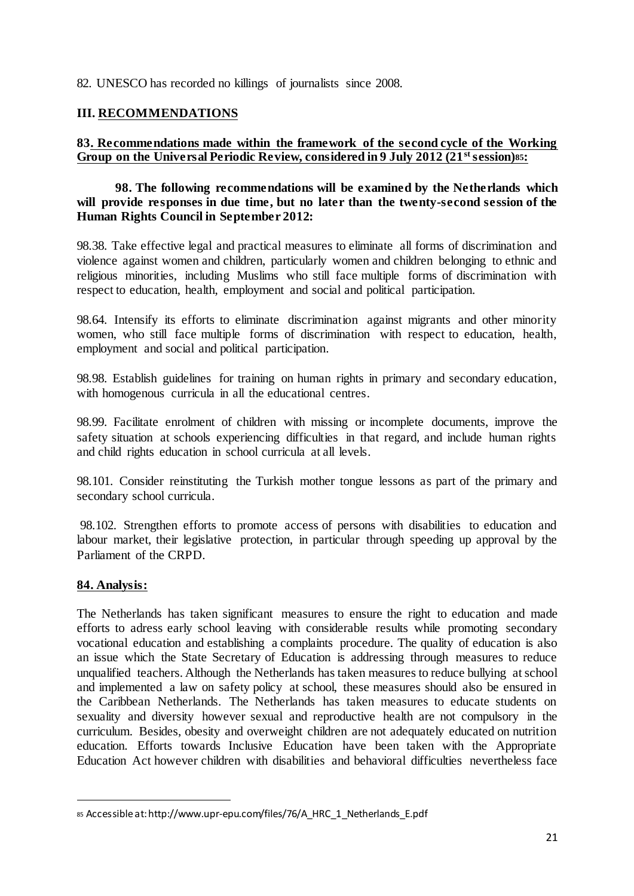82. UNESCO has recorded no killings of journalists since 2008.

## **III. RECOMMENDATIONS**

#### **83. Recommendations made within the framework of the second cycle of the Working Group on the Universal Periodic Review, considered in 9 July 2012 (21stsession)85:**

#### **98. The following recommendations will be examined by the Netherlands which will provide responses in due time, but no later than the twenty-second session of the Human Rights Council in September 2012:**

98.38. Take effective legal and practical measures to eliminate all forms of discrimination and violence against women and children, particularly women and children belonging to ethnic and religious minorities, including Muslims who still face multiple forms of discrimination with respect to education, health, employment and social and political participation.

98.64. Intensify its efforts to eliminate discrimination against migrants and other minority women, who still face multiple forms of discrimination with respect to education, health, employment and social and political participation.

98.98. Establish guidelines for training on human rights in primary and secondary education, with homogenous curricula in all the educational centres.

98.99. Facilitate enrolment of children with missing or incomplete documents, improve the safety situation at schools experiencing difficulties in that regard, and include human rights and child rights education in school curricula at all levels.

98.101. Consider reinstituting the Turkish mother tongue lessons as part of the primary and secondary school curricula.

98.102. Strengthen efforts to promote access of persons with disabilities to education and labour market, their legislative protection, in particular through speeding up approval by the Parliament of the CRPD.

## **84. Analysis:**

 $\overline{a}$ 

The Netherlands has taken significant measures to ensure the right to education and made efforts to adress early school leaving with considerable results while promoting secondary vocational education and establishing a complaints procedure. The quality of education is also an issue which the State Secretary of Education is addressing through measures to reduce unqualified teachers. Although the Netherlands has taken measures to reduce bullying at school and implemented a law on safety policy at school, these measures should also be ensured in the Caribbean Netherlands. The Netherlands has taken measures to educate students on sexuality and diversity however sexual and reproductive health are not compulsory in the curriculum. Besides, obesity and overweight children are not adequately educated on nutrition education. Efforts towards Inclusive Education have been taken with the Appropriate Education Act however children with disabilities and behavioral difficulties nevertheless face

<sup>85</sup> Accessible at: http://www.upr-epu.com/files/76/A\_HRC\_1\_Netherlands\_E.pdf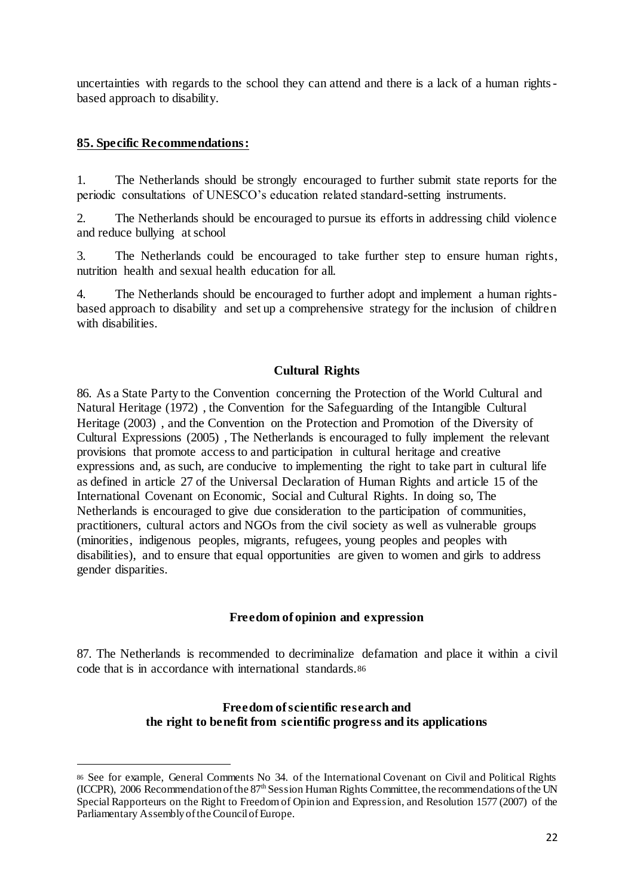uncertainties with regards to the school they can attend and there is a lack of a human rightsbased approach to disability.

### **85. Specific Recommendations:**

 $\overline{a}$ 

1. The Netherlands should be strongly encouraged to further submit state reports for the periodic consultations of UNESCO's education related standard-setting instruments.

2. The Netherlands should be encouraged to pursue its efforts in addressing child violence and reduce bullying at school

3. The Netherlands could be encouraged to take further step to ensure human rights, nutrition health and sexual health education for all.

4. The Netherlands should be encouraged to further adopt and implement a human rightsbased approach to disability and set up a comprehensive strategy for the inclusion of children with disabilities.

#### **Cultural Rights**

86. As a State Party to the Convention concerning the Protection of the World Cultural and Natural Heritage (1972) , the Convention for the Safeguarding of the Intangible Cultural Heritage (2003) , and the Convention on the Protection and Promotion of the Diversity of Cultural Expressions (2005) , The Netherlands is encouraged to fully implement the relevant provisions that promote access to and participation in cultural heritage and creative expressions and, as such, are conducive to implementing the right to take part in cultural life as defined in article 27 of the Universal Declaration of Human Rights and article 15 of the International Covenant on Economic, Social and Cultural Rights. In doing so, The Netherlands is encouraged to give due consideration to the participation of communities, practitioners, cultural actors and NGOs from the civil society as well as vulnerable groups (minorities, indigenous peoples, migrants, refugees, young peoples and peoples with disabilities), and to ensure that equal opportunities are given to women and girls to address gender disparities.

#### **Freedom of opinion and expression**

87. The Netherlands is recommended to decriminalize defamation and place it within a civil code that is in accordance with international standards.<sup>86</sup>

#### **Freedom of scientific research and the right to benefit from scientific progress and its applications**

<sup>86</sup> See for example, General Comments No 34. of the International Covenant on Civil and Political Rights (ICCPR), 2006 Recommendation of the 87<sup>th</sup> Session Human Rights Committee, the recommendations of the UN Special Rapporteurs on the Right to Freedom of Opinion and Expression, and Resolution 1577 (2007) of the Parliamentary Assembly of the Council of Europe.